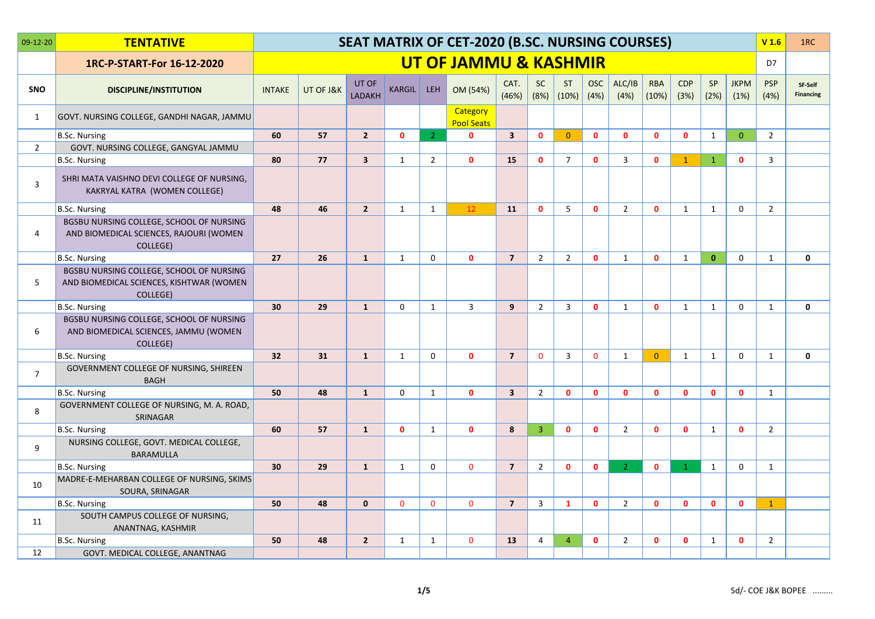| 09-12-20       | <b>TENTATIVE</b>                                                                                 |               |           |                 |               |                | SEAT MATRIX OF CET-2020 (B.SC. NURSING COURSES) |                         |                   |                    |                    |                |                     |                    |                   |                     | V <sub>1.6</sub>   | 1RC                         |
|----------------|--------------------------------------------------------------------------------------------------|---------------|-----------|-----------------|---------------|----------------|-------------------------------------------------|-------------------------|-------------------|--------------------|--------------------|----------------|---------------------|--------------------|-------------------|---------------------|--------------------|-----------------------------|
|                | 1RC-P-START-For 16-12-2020                                                                       |               |           |                 |               |                | UT OF JAMMU & KASHMIR                           |                         |                   |                    |                    |                |                     |                    |                   |                     | D7                 |                             |
| <b>SNO</b>     | <b>DISCIPLINE/INSTITUTION</b>                                                                    | <b>INTAKE</b> | UT OF J&K | UT OF<br>LADAKH | <b>KARGIL</b> | <b>LEH</b>     | OM (54%)                                        | CAT.<br>(46%)           | <b>SC</b><br>(8%) | <b>ST</b><br>(10%) | <b>OSC</b><br>(4%) | ALC/IB<br>(4%) | <b>RBA</b><br>(10%) | <b>CDP</b><br>(3%) | <b>SP</b><br>(2%) | <b>JKPM</b><br>(1%) | <b>PSP</b><br>(4%) | SF-Self<br><b>Financing</b> |
| 1              | GOVT. NURSING COLLEGE, GANDHI NAGAR, JAMMU                                                       |               |           |                 |               |                | Category<br><b>Pool Seats</b>                   |                         |                   |                    |                    |                |                     |                    |                   |                     |                    |                             |
|                | B.Sc. Nursing                                                                                    | 60            | 57        | $2^{\circ}$     | $\mathbf{0}$  | 2 <sup>1</sup> | $\mathbf{0}$                                    | $\overline{\mathbf{3}}$ | $\mathbf{0}$      | $\Omega$           | $\mathbf{0}$       | $\mathbf{0}$   | $\mathbf{0}$        | $\mathbf{0}$       | $\mathbf{1}$      | $\overline{0}$      | $\overline{2}$     |                             |
| $\overline{2}$ | GOVT. NURSING COLLEGE, GANGYAL JAMMU                                                             |               |           |                 |               |                |                                                 |                         |                   |                    |                    |                |                     |                    |                   |                     |                    |                             |
|                | B.Sc. Nursing                                                                                    | 80            | 77        | $\overline{3}$  | 1             | $\overline{2}$ | $\mathbf{0}$                                    | 15                      | $\mathbf{0}$      | $\overline{7}$     | $\Omega$           | $\overline{3}$ | $\mathbf{0}$        | $\mathbf{1}$       | $\mathbf{1}$      | $\mathbf{0}$        | 3                  |                             |
| 3              | SHRI MATA VAISHNO DEVI COLLEGE OF NURSING,<br>KAKRYAL KATRA (WOMEN COLLEGE)                      |               |           |                 |               |                |                                                 |                         |                   |                    |                    |                |                     |                    |                   |                     |                    |                             |
|                | <b>B.Sc. Nursing</b>                                                                             | 48            | 46        | $\overline{2}$  | $\mathbf{1}$  | $\mathbf{1}$   | 12                                              | 11                      | $\mathbf{0}$      | 5                  | $\mathbf{0}$       | $\overline{2}$ | $\mathbf{0}$        | $\mathbf{1}$       | $\mathbf{1}$      | $\mathbf 0$         | $\overline{2}$     |                             |
| $\overline{4}$ | BGSBU NURSING COLLEGE, SCHOOL OF NURSING<br>AND BIOMEDICAL SCIENCES, RAJOURI (WOMEN<br>COLLEGE)  |               |           |                 |               |                |                                                 |                         |                   |                    |                    |                |                     |                    |                   |                     |                    |                             |
|                | <b>B.Sc. Nursing</b>                                                                             | 27            | 26        | $\mathbf{1}$    | 1             | $\mathbf 0$    | $\mathbf{0}$                                    | $\overline{7}$          | $\overline{2}$    | $\overline{2}$     | $\mathbf{0}$       | $\mathbf{1}$   | $\mathbf{0}$        | 1                  | $\mathbf{0}$      | $\mathbf 0$         | $\mathbf{1}$       | $\mathbf 0$                 |
| 5              | BGSBU NURSING COLLEGE, SCHOOL OF NURSING<br>AND BIOMEDICAL SCIENCES, KISHTWAR (WOMEN<br>COLLEGE) |               |           |                 |               |                |                                                 |                         |                   |                    |                    |                |                     |                    |                   |                     |                    |                             |
|                | <b>B.Sc. Nursing</b>                                                                             | 30            | 29        | $\mathbf{1}$    | $\mathbf 0$   | $\mathbf{1}$   | $\overline{3}$                                  | 9                       | $\overline{2}$    | $\overline{3}$     | $\mathbf{0}$       | $\mathbf{1}$   | $\mathbf{0}$        | 1                  | $\mathbf{1}$      | $\mathbf 0$         | $\mathbf{1}$       | $\mathbf{0}$                |
| 6              | BGSBU NURSING COLLEGE, SCHOOL OF NURSING<br>AND BIOMEDICAL SCIENCES, JAMMU (WOMEN<br>COLLEGE)    |               |           |                 |               |                |                                                 |                         |                   |                    |                    |                |                     |                    |                   |                     |                    |                             |
|                | B.Sc. Nursing                                                                                    | 32            | 31        | $\mathbf{1}$    | $\mathbf{1}$  | $\Omega$       | $\mathbf{0}$                                    | $\overline{7}$          | $\mathbf{0}$      | $\overline{3}$     | $\mathbf{0}$       | $\mathbf{1}$   | $\overline{0}$      | $\mathbf{1}$       | $\mathbf{1}$      | $\Omega$            | $\mathbf{1}$       | $\mathbf 0$                 |
| $\overline{7}$ | GOVERNMENT COLLEGE OF NURSING, SHIREEN<br><b>BAGH</b>                                            |               |           |                 |               |                |                                                 |                         |                   |                    |                    |                |                     |                    |                   |                     |                    |                             |
|                | <b>B.Sc. Nursing</b>                                                                             | 50            | 48        | $\mathbf{1}$    | $\mathbf 0$   | $\mathbf{1}$   | $\mathbf{0}$                                    | $\overline{\mathbf{3}}$ | $\overline{2}$    | $\mathbf{0}$       | $\mathbf{0}$       | $\mathbf{0}$   | $\mathbf{0}$        | $\mathbf{0}$       | $\mathbf{0}$      | $\mathbf{0}$        | $\mathbf{1}$       |                             |
| 8              | GOVERNMENT COLLEGE OF NURSING, M. A. ROAD,<br>SRINAGAR                                           |               |           |                 |               |                |                                                 |                         |                   |                    |                    |                |                     |                    |                   |                     |                    |                             |
|                | B.Sc. Nursing                                                                                    | 60            | 57        | $\mathbf{1}$    | $\mathbf{0}$  | $\mathbf{1}$   | $\mathbf{0}$                                    | 8                       | $\overline{3}$    | $\mathbf{0}$       | $\mathbf{0}$       | $\overline{2}$ | $\mathbf{0}$        | $\mathbf{0}$       | $\mathbf{1}$      | $\mathbf 0$         | $\overline{2}$     |                             |
| 9              | NURSING COLLEGE, GOVT. MEDICAL COLLEGE,<br><b>BARAMULLA</b>                                      |               |           |                 |               |                |                                                 |                         |                   |                    |                    |                |                     |                    |                   |                     |                    |                             |
|                | B.Sc. Nursing                                                                                    | 30            | 29        | $\mathbf{1}$    | 1             | $\Omega$       | $\Omega$                                        | $\overline{7}$          | $\overline{2}$    | $\mathbf{0}$       | $\mathbf 0$        | $\overline{2}$ | $\mathbf{0}$        | $\mathbf{1}$       | $\mathbf{1}$      | 0                   | $\mathbf{1}$       |                             |
| 10             | MADRE-E-MEHARBAN COLLEGE OF NURSING, SKIMS<br>SOURA, SRINAGAR                                    |               |           |                 |               |                |                                                 |                         |                   |                    |                    |                |                     |                    |                   |                     |                    |                             |
|                | B.Sc. Nursing                                                                                    | 50            | 48        | $\mathbf{0}$    | $\Omega$      | $\Omega$       | $\Omega$                                        | $\overline{7}$          | $\overline{3}$    | $\mathbf{1}$       | $\mathbf{0}$       | $\overline{2}$ | $\mathbf{0}$        | $\mathbf{0}$       | $\mathbf{0}$      | $\mathbf{0}$        | $\mathbf{1}$       |                             |
| 11             | SOUTH CAMPUS COLLEGE OF NURSING,<br>ANANTNAG, KASHMIR                                            |               |           |                 |               |                |                                                 |                         |                   |                    |                    |                |                     |                    |                   |                     |                    |                             |
|                | <b>B.Sc. Nursing</b>                                                                             | 50            | 48        | $2^{\circ}$     | $\mathbf{1}$  | $\mathbf{1}$   | $\mathbf{0}$                                    | 13                      | $\overline{4}$    | $\overline{4}$     | $\mathbf{0}$       | $\overline{2}$ | $\mathbf{0}$        | $\mathbf{0}$       | $\mathbf{1}$      | $\mathbf{0}$        | $\overline{2}$     |                             |
| 12             | GOVT. MEDICAL COLLEGE, ANANTNAG                                                                  |               |           |                 |               |                |                                                 |                         |                   |                    |                    |                |                     |                    |                   |                     |                    |                             |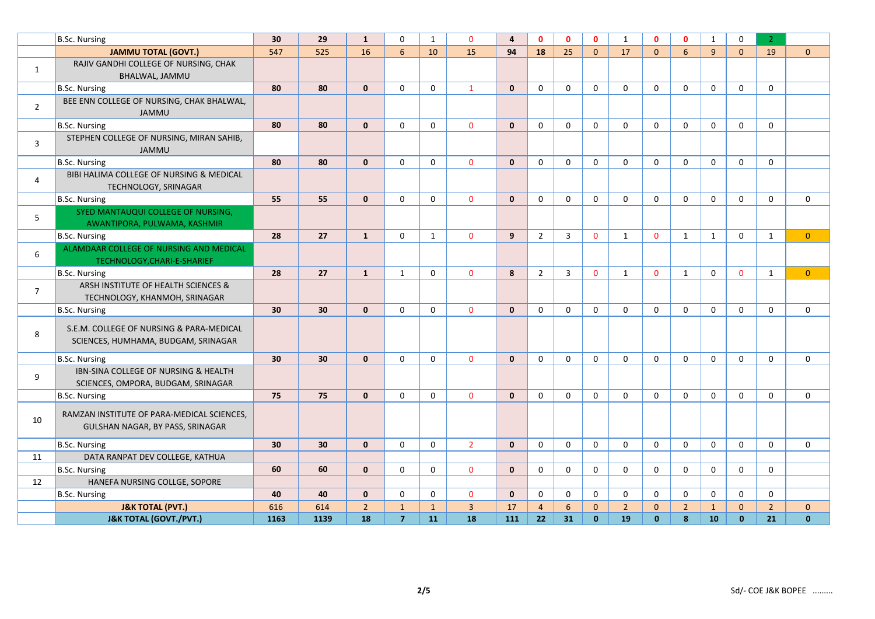|                | B.Sc. Nursing                                                                   | 30   | 29   | $\mathbf{1}$   | $\Omega$       | $\mathbf{1}$ | $\Omega$       | $\overline{\mathbf{4}}$ | $\mathbf{0}$   | $\mathbf{0}$   | $\mathbf{0}$ | $\mathbf{1}$   | $\Omega$     | $\mathbf{0}$   | $\mathbf{1}$ | $\mathbf 0$  | $\overline{2}$ |                |
|----------------|---------------------------------------------------------------------------------|------|------|----------------|----------------|--------------|----------------|-------------------------|----------------|----------------|--------------|----------------|--------------|----------------|--------------|--------------|----------------|----------------|
|                | <b>JAMMU TOTAL (GOVT.)</b>                                                      | 547  | 525  | 16             | 6              | 10           | 15             | 94                      | 18             | 25             | $\mathbf{0}$ | 17             | $\Omega$     | 6              | 9            | $\Omega$     | 19             | $\mathbf{0}$   |
| $\mathbf{1}$   | RAJIV GANDHI COLLEGE OF NURSING, CHAK<br>BHALWAL, JAMMU                         |      |      |                |                |              |                |                         |                |                |              |                |              |                |              |              |                |                |
|                | B.Sc. Nursing                                                                   | 80   | 80   | $\mathbf{0}$   | $\mathbf 0$    | 0            | $\mathbf{1}$   | $\mathbf{0}$            | 0              | $\mathbf 0$    | $\mathbf 0$  | $\mathbf 0$    | 0            | 0              | $\mathbf 0$  | $\mathbf 0$  | $\mathbf 0$    |                |
| $\overline{2}$ | BEE ENN COLLEGE OF NURSING, CHAK BHALWAL,<br><b>JAMMU</b>                       |      |      |                |                |              |                |                         |                |                |              |                |              |                |              |              |                |                |
|                | <b>B.Sc. Nursing</b>                                                            | 80   | 80   | $\mathbf{0}$   | 0              | 0            | $\mathbf 0$    | $\mathbf{0}$            | 0              | 0              | 0            | 0              | 0            | 0              | 0            | 0            | 0              |                |
| $\overline{3}$ | STEPHEN COLLEGE OF NURSING, MIRAN SAHIB,<br><b>JAMMU</b>                        |      |      |                |                |              |                |                         |                |                |              |                |              |                |              |              |                |                |
|                | <b>B.Sc. Nursing</b>                                                            | 80   | 80   | $\mathbf{0}$   | $\Omega$       | $\Omega$     | $\mathbf{0}$   | $\mathbf{0}$            | 0              | $\Omega$       | $\Omega$     | $\mathbf{0}$   | $\Omega$     | $\Omega$       | $\mathbf{0}$ | $\mathbf{0}$ | 0              |                |
| 4              | BIBI HALIMA COLLEGE OF NURSING & MEDICAL<br>TECHNOLOGY, SRINAGAR                |      |      |                |                |              |                |                         |                |                |              |                |              |                |              |              |                |                |
|                | B.Sc. Nursing                                                                   | 55   | 55   | $\mathbf{0}$   | $\Omega$       | $\Omega$     | $\mathbf{0}$   | $\mathbf{0}$            | $\Omega$       | $\Omega$       | $\Omega$     | $\Omega$       | $\Omega$     | $\Omega$       | $\mathbf{0}$ | $\mathbf{0}$ | $\mathbf{0}$   | 0              |
| 5              | SYED MANTAUQUI COLLEGE OF NURSING,<br>AWANTIPORA, PULWAMA, KASHMIR              |      |      |                |                |              |                |                         |                |                |              |                |              |                |              |              |                |                |
|                | B.Sc. Nursing                                                                   | 28   | 27   | $\mathbf{1}$   | $\mathbf 0$    | $\mathbf{1}$ | $\Omega$       | 9                       | $\overline{2}$ | $\overline{3}$ | $\Omega$     | $\mathbf{1}$   | $\mathbf{0}$ | $\mathbf{1}$   | $\mathbf{1}$ | $\Omega$     | $\mathbf{1}$   | $\Omega$       |
| 6              | ALAMDAAR COLLEGE OF NURSING AND MEDICAL<br>TECHNOLOGY, CHARI-E-SHARIEF          |      |      |                |                |              |                |                         |                |                |              |                |              |                |              |              |                |                |
|                | B.Sc. Nursing                                                                   | 28   | 27   | $\mathbf{1}$   | 1              | $\Omega$     | $\mathbf{0}$   | 8                       | $\overline{2}$ | $\overline{3}$ | $\mathbf{0}$ | 1              | $\Omega$     | 1              | $\Omega$     | $\mathbf{0}$ | $\mathbf{1}$   | $\overline{0}$ |
| $\overline{7}$ | ARSH INSTITUTE OF HEALTH SCIENCES &<br>TECHNOLOGY, KHANMOH, SRINAGAR            |      |      |                |                |              |                |                         |                |                |              |                |              |                |              |              |                |                |
|                | <b>B.Sc. Nursing</b>                                                            | 30   | 30   | $\mathbf{0}$   | $\mathbf 0$    | $\mathbf 0$  | $\mathbf{0}$   | $\mathbf{0}$            | $\mathbf 0$    | $\Omega$       | $\mathbf 0$  | $\mathbf{0}$   | $\Omega$     | $\mathbf{0}$   | $\mathbf{0}$ | $\mathbf{0}$ | $\mathbf 0$    | 0              |
| 8              | S.E.M. COLLEGE OF NURSING & PARA-MEDICAL<br>SCIENCES, HUMHAMA, BUDGAM, SRINAGAR |      |      |                |                |              |                |                         |                |                |              |                |              |                |              |              |                |                |
|                | B.Sc. Nursing                                                                   | 30   | 30   | $\mathbf{0}$   | 0              | 0            | $\mathbf{0}$   | $\mathbf{0}$            | $\mathbf 0$    | $\mathbf 0$    | $\mathbf 0$  | $\mathbf 0$    | 0            | 0              | $\mathbf 0$  | $\mathbf 0$  | $\mathbf 0$    | $\mathbf 0$    |
| 9              | IBN-SINA COLLEGE OF NURSING & HEALTH<br>SCIENCES, OMPORA, BUDGAM, SRINAGAR      |      |      |                |                |              |                |                         |                |                |              |                |              |                |              |              |                |                |
|                | <b>B.Sc. Nursing</b>                                                            | 75   | 75   | $\mathbf{0}$   | $\Omega$       | $\Omega$     | $\mathbf{0}$   | $\mathbf{0}$            | $\mathbf 0$    | $\Omega$       | $\mathbf 0$  | $\mathbf{0}$   | $\Omega$     | $\Omega$       | $\mathbf{0}$ | $\mathbf{0}$ | $\mathbf 0$    | 0              |
| 10             | RAMZAN INSTITUTE OF PARA-MEDICAL SCIENCES,<br>GULSHAN NAGAR, BY PASS, SRINAGAR  |      |      |                |                |              |                |                         |                |                |              |                |              |                |              |              |                |                |
|                | B.Sc. Nursing                                                                   | 30   | 30   | $\mathbf{0}$   | $\Omega$       | $\mathbf 0$  | $\overline{2}$ | $\mathbf{0}$            | $\mathbf 0$    | $\Omega$       | $\mathbf 0$  | $\mathbf{0}$   | $\Omega$     | $\Omega$       | $\mathbf 0$  | $\Omega$     | $\mathbf{0}$   | $\Omega$       |
| 11             | DATA RANPAT DEV COLLEGE, KATHUA                                                 |      |      |                |                |              |                |                         |                |                |              |                |              |                |              |              |                |                |
|                | <b>B.Sc. Nursing</b>                                                            | 60   | 60   | $\mathbf{0}$   | 0              | 0            | $\mathbf{0}$   | $\mathbf{0}$            | 0              | $\mathbf 0$    | $\mathbf 0$  | $\mathbf 0$    | 0            | 0              | $\mathbf 0$  | $\mathbf 0$  | $\mathbf 0$    |                |
| 12             | HANEFA NURSING COLLGE, SOPORE                                                   |      |      |                |                |              |                |                         |                |                |              |                |              |                |              |              |                |                |
|                | <b>B.Sc. Nursing</b>                                                            | 40   | 40   | $\mathbf{0}$   | $\mathbf 0$    | 0            | $\mathbf{0}$   | $\mathbf{0}$            | $\mathbf 0$    | $\mathbf 0$    | $\mathbf 0$  | $\mathbf 0$    | $\mathbf 0$  | $\mathbf 0$    | $\mathbf 0$  | $\mathbf 0$  | $\mathbf 0$    |                |
|                | <b>J&amp;K TOTAL (PVT.)</b>                                                     | 616  | 614  | $\overline{2}$ | $\mathbf{1}$   | $\mathbf{1}$ | $\overline{3}$ | 17                      | $\overline{4}$ | 6              | $\mathbf{0}$ | $\overline{2}$ | $\mathbf{0}$ | $\overline{2}$ | $\mathbf{1}$ | $\mathbf{0}$ | $\overline{2}$ | $\mathbf{0}$   |
|                | <b>J&amp;K TOTAL (GOVT./PVT.)</b>                                               | 1163 | 1139 | 18             | $\overline{7}$ | 11           | 18             | 111                     | 22             | 31             | $\mathbf{0}$ | 19             | $\mathbf{0}$ | 8              | 10           | $\mathbf{0}$ | 21             | $\mathbf{0}$   |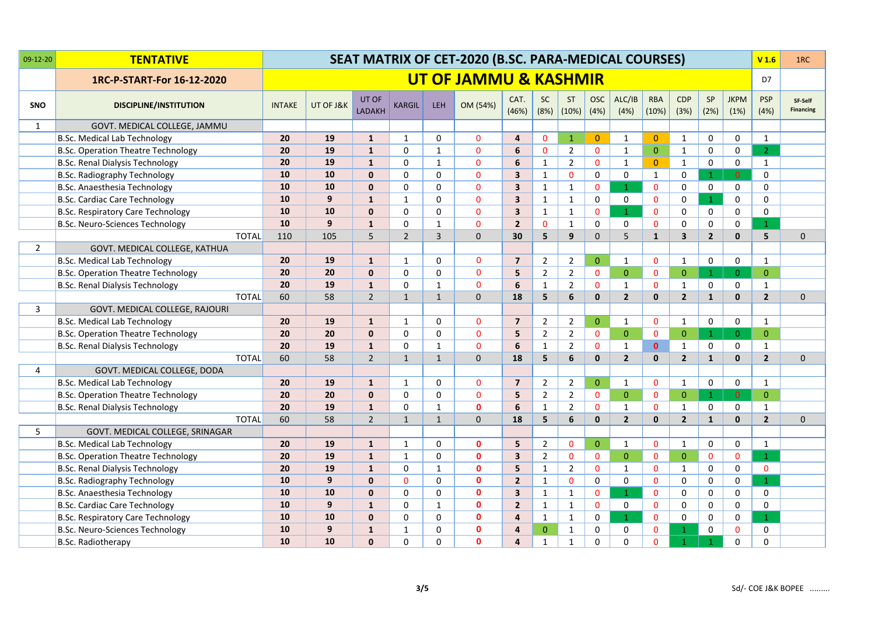| 09-12-20       | <b>TENTATIVE</b>                          |               |           |                        |                |              | SEAT MATRIX OF CET-2020 (B.SC. PARA-MEDICAL COURSES) |                         |                   |                    |                    |                |                     |                    |                   |                     | V <sub>1.6</sub>   | 1RC                         |
|----------------|-------------------------------------------|---------------|-----------|------------------------|----------------|--------------|------------------------------------------------------|-------------------------|-------------------|--------------------|--------------------|----------------|---------------------|--------------------|-------------------|---------------------|--------------------|-----------------------------|
|                | 1RC-P-START-For 16-12-2020                |               |           |                        |                |              | UT OF JAMMU & KASHMIR                                |                         |                   |                    |                    |                |                     |                    |                   |                     | D7                 |                             |
| <b>SNO</b>     | <b>DISCIPLINE/INSTITUTION</b>             | <b>INTAKE</b> | UT OF J&K | UT OF<br><b>LADAKH</b> | <b>KARGIL</b>  | <b>LEH</b>   | OM (54%)                                             | CAT.<br>(46%)           | <b>SC</b><br>(8%) | <b>ST</b><br>(10%) | <b>OSC</b><br>(4%) | ALC/IB<br>(4%) | <b>RBA</b><br>(10%) | <b>CDP</b><br>(3%) | <b>SP</b><br>(2%) | <b>JKPM</b><br>(1%) | <b>PSP</b><br>(4%) | SF-Self<br><b>Financing</b> |
| $\mathbf{1}$   | GOVT. MEDICAL COLLEGE, JAMMU              |               |           |                        |                |              |                                                      |                         |                   |                    |                    |                |                     |                    |                   |                     |                    |                             |
|                | <b>B.Sc. Medical Lab Technology</b>       | 20            | 19        | $\mathbf{1}$           | $\mathbf{1}$   | $\mathbf 0$  | $\mathbf{0}$                                         | 4                       | $\mathbf 0$       | $\mathbf{1}$       | $\overline{0}$     | $\mathbf{1}$   | $\mathbf{0}$        | $\mathbf{1}$       | 0                 | 0                   | $\mathbf{1}$       |                             |
|                | <b>B.Sc. Operation Theatre Technology</b> | 20            | 19        | $\mathbf{1}$           | $\mathbf 0$    | $\mathbf{1}$ | $\mathbf{0}$                                         | 6                       | $\mathbf{0}$      | $\overline{2}$     | $\mathbf 0$        | $\mathbf{1}$   | $\overline{0}$      | $\mathbf{1}$       | 0                 | 0                   | 2 <sup>1</sup>     |                             |
|                | <b>B.Sc. Renal Dialysis Technology</b>    | 20            | 19        | $\mathbf 1$            | $\mathbf 0$    | $\mathbf 1$  | $\mathbf{0}$                                         | 6                       | $\mathbf{1}$      | $\overline{2}$     | $\mathbf 0$        | $\mathbf{1}$   | $\overline{0}$      | $\mathbf{1}$       | $\mathbf 0$       | $\mathbf 0$         | $\mathbf{1}$       |                             |
|                | <b>B.Sc. Radiography Technology</b>       | 10            | 10        | $\mathbf 0$            | $\Omega$       | $\mathbf 0$  | $\mathbf{0}$                                         | 3                       | $\mathbf{1}$      | $\mathbf{0}$       | 0                  | 0              | $\mathbf{1}$        | $\mathbf 0$        | $\mathbf{1}$      | $\overline{0}$      | 0                  |                             |
|                | B.Sc. Anaesthesia Technology              | 10            | 10        | $\mathbf 0$            | $\mathbf 0$    | 0            | $\mathbf{0}$                                         | 3                       | $\mathbf 1$       | $\mathbf 1$        | $\mathbf 0$        | $\mathbf{1}$   | $\mathbf{0}$        | $\mathbf 0$        | 0                 | 0                   | 0                  |                             |
|                | <b>B.Sc. Cardiac Care Technology</b>      | 10            | 9         | $\mathbf{1}$           | $\mathbf{1}$   | 0            | $\mathbf{0}$                                         | 3                       | $\mathbf{1}$      | $\mathbf{1}$       | $\mathbf 0$        | 0              | $\mathbf{0}$        | $\mathbf 0$        | $\mathbf{1}$      | 0                   | 0                  |                             |
|                | <b>B.Sc. Respiratory Care Technology</b>  | 10            | 10        | $\mathbf 0$            | $\mathbf 0$    | 0            | $\mathbf 0$                                          | 3                       | $\mathbf{1}$      | $\mathbf{1}$       | $\mathbf 0$        | $\mathbf{1}$   | $\mathbf{0}$        | 0                  | 0                 | 0                   | 0                  |                             |
|                | <b>B.Sc. Neuro-Sciences Technology</b>    | 10            | 9         | $\mathbf{1}$           | 0              | 1            | $\mathbf{0}$                                         | $\overline{2}$          | $\mathbf{0}$      | $\mathbf 1$        | $\mathbf 0$        | $\mathbf 0$    | $\mathbf{0}$        | 0                  | 0                 | 0                   | $\mathbf{1}$       |                             |
|                | <b>TOTAL</b>                              | 110           | 105       | 5                      | $\overline{2}$ | 3            | $\mathbf{0}$                                         | 30                      | 5                 | 9                  | $\mathbf{0}$       | 5              | $\mathbf{1}$        | 3                  | $\overline{2}$    | $\mathbf{0}$        | 5 <sup>1</sup>     | $\mathbf{0}$                |
| $\overline{2}$ | GOVT. MEDICAL COLLEGE, KATHUA             |               |           |                        |                |              |                                                      |                         |                   |                    |                    |                |                     |                    |                   |                     |                    |                             |
|                | <b>B.Sc. Medical Lab Technology</b>       | 20            | 19        | $\mathbf{1}$           | $\mathbf{1}$   | 0            | $\mathbf{0}$                                         | $\overline{7}$          | $\overline{2}$    | $\overline{2}$     | $\overline{0}$     | $\mathbf{1}$   | $\mathbf{0}$        | $\mathbf{1}$       | 0                 | 0                   | $\mathbf{1}$       |                             |
|                | <b>B.Sc. Operation Theatre Technology</b> | 20            | 20        | $\mathbf 0$            | 0              | 0            | $\mathbf 0$                                          | 5                       | $\overline{2}$    | $\overline{2}$     | $\mathbf 0$        | $\overline{0}$ | $\mathbf{0}$        | $\mathbf 0$        | 1                 | $\overline{0}$      | $\overline{0}$     |                             |
|                | <b>B.Sc. Renal Dialysis Technology</b>    | 20            | 19        | $\mathbf 1$            | 0              | $\mathbf{1}$ | $\mathbf 0$                                          | 6                       | $\mathbf{1}$      | $\overline{2}$     | $\mathbf{0}$       | $\mathbf{1}$   | $\mathbf{0}$        | $\mathbf{1}$       | 0                 | $\mathbf 0$         | $\mathbf{1}$       |                             |
|                | <b>TOTAL</b>                              | 60            | 58        | $\overline{2}$         | $\mathbf{1}$   | $\mathbf{1}$ | $\mathbf 0$                                          | 18                      | 5                 | 6                  | $\mathbf{0}$       | $2^{\circ}$    | $\mathbf{0}$        | $\overline{2}$     | $\mathbf{1}$      | $\mathbf{0}$        | $\overline{2}$     | $\mathbf 0$                 |
| 3              | GOVT. MEDICAL COLLEGE, RAJOURI            |               |           |                        |                |              |                                                      |                         |                   |                    |                    |                |                     |                    |                   |                     |                    |                             |
|                | <b>B.Sc. Medical Lab Technology</b>       | 20            | 19        | $\mathbf{1}$           | $\mathbf{1}$   | 0            | $\mathbf 0$                                          | $\overline{7}$          | $\overline{2}$    | $\overline{2}$     | $\mathbf{0}$       | $\mathbf{1}$   | $\mathbf{0}$        | 1                  | $\mathsf{O}$      | 0                   | $\mathbf{1}$       |                             |
|                | B.Sc. Operation Theatre Technology        | 20            | 20        | $\mathbf 0$            | 0              | 0            | $\mathbf{0}$                                         | 5                       | $\overline{2}$    | $\overline{2}$     | $\mathbf{0}$       | $\overline{0}$ | $\mathbf{0}$        | $\mathbf{0}$       | $\mathbf{1}$      | $\overline{0}$      | $\overline{0}$     |                             |
|                | <b>B.Sc. Renal Dialysis Technology</b>    | 20            | 19        | $\mathbf{1}$           | 0              | $\mathbf{1}$ | $\mathbf 0$                                          | 6                       | $\mathbf{1}$      | $\overline{2}$     | $\mathbf{0}$       | $\mathbf{1}$   | $\mathbf{0}$        | $\mathbf{1}$       | 0                 | 0                   | $\mathbf{1}$       |                             |
|                | <b>TOTAL</b>                              | 60            | 58        | $\overline{2}$         | $\mathbf{1}$   | $\mathbf{1}$ | $\mathbf 0$                                          | 18                      | 5                 | 6                  | $\mathbf{0}$       | $\overline{2}$ | $\mathbf{0}$        | $\overline{2}$     | $\mathbf{1}$      | $\mathbf{0}$        | $\overline{2}$     | 0                           |
| 4              | GOVT. MEDICAL COLLEGE, DODA               |               |           |                        |                |              |                                                      |                         |                   |                    |                    |                |                     |                    |                   |                     |                    |                             |
|                | <b>B.Sc. Medical Lab Technology</b>       | 20            | 19        | $\mathbf{1}$           | $\mathbf{1}$   | 0            | $\mathbf 0$                                          | $\overline{\mathbf{z}}$ | $\overline{2}$    | $\overline{2}$     | $\overline{0}$     | $\mathbf{1}$   | $\mathbf 0$         | $\mathbf{1}$       | $\mathsf{O}$      | 0                   | $\mathbf{1}$       |                             |
|                | B.Sc. Operation Theatre Technology        | 20            | 20        | 0                      | $\mathbf 0$    | 0            | $\mathbf{0}$                                         | 5                       | $\overline{2}$    | $\overline{2}$     | $\mathbf 0$        | $\overline{0}$ | $\mathbf{0}$        | $\mathbf{0}$       | $\mathbf{1}$      | $\mathbf{0}$        | $\overline{0}$     |                             |
|                | <b>B.Sc. Renal Dialysis Technology</b>    | 20            | 19        | $\mathbf{1}$           | 0              | $\mathbf{1}$ | $\mathbf{0}$                                         | 6                       | $\mathbf{1}$      | $\overline{2}$     | $\mathbf{0}$       | $\mathbf{1}$   | $\mathbf{0}$        | $\mathbf{1}$       | 0                 | 0                   | $\mathbf{1}$       |                             |
|                | <b>TOTAL</b>                              | 60            | 58        | $\overline{2}$         | $\mathbf{1}$   | $\mathbf{1}$ | $\mathbf{0}$                                         | 18                      | 5                 | 6                  | $\mathbf{0}$       | $2^{\circ}$    | $\mathbf{0}$        | $\overline{2}$     | $\mathbf{1}$      | $\mathbf{0}$        | $\overline{2}$     | 0                           |
| 5              | GOVT. MEDICAL COLLEGE, SRINAGAR           |               |           |                        |                |              |                                                      |                         |                   |                    |                    |                |                     |                    |                   |                     |                    |                             |
|                | <b>B.Sc. Medical Lab Technology</b>       | 20            | 19        | $\mathbf{1}$           | $\mathbf{1}$   | 0            | $\mathbf{0}$                                         | 5                       | $\overline{2}$    | $\mathbf 0$        | $\overline{0}$     | $\mathbf{1}$   | $\mathbf{0}$        | $\mathbf{1}$       | 0                 | 0                   | $\mathbf{1}$       |                             |
|                | <b>B.Sc. Operation Theatre Technology</b> | 20            | 19        | $\mathbf{1}$           | $\mathbf{1}$   | 0            | $\mathbf{0}$                                         | 3                       | $\overline{2}$    | $\mathbf{0}$       | $\mathbf 0$        | $\overline{0}$ | $\mathbf{0}$        | $\mathbf{0}$       | $\mathbf 0$       | $\mathbf{0}$        | $\mathbf{1}$       |                             |
|                | <b>B.Sc. Renal Dialysis Technology</b>    | 20            | 19        | $\mathbf{1}$           | $\mathbf 0$    | $\mathbf{1}$ | $\mathbf{0}$                                         | 5                       | $\mathbf{1}$      | $\overline{2}$     | $\mathbf{0}$       | $\mathbf{1}$   | $\mathbf{0}$        | $\mathbf{1}$       | 0                 | 0                   | $\mathbf{0}$       |                             |
|                | B.Sc. Radiography Technology              | 10            | 9         | 0                      | $\mathbf{0}$   | 0            | $\mathbf{0}$                                         | $\overline{2}$          | $\mathbf{1}$      | $\mathbf{0}$       | $\mathbf 0$        | 0              | $\mathbf{0}$        | $\mathbf 0$        | $\mathsf{O}$      | $\mathbf 0$         | 1                  |                             |
|                | B.Sc. Anaesthesia Technology              | 10            | 10        | $\mathbf{0}$           | $\mathbf{0}$   | 0            | $\mathbf{0}$                                         | 3                       | $\mathbf{1}$      | $\mathbf{1}$       | $\mathbf{0}$       | $\mathbf{1}$   | $\mathbf{0}$        | $\mathbf 0$        | 0                 | $\mathbf 0$         | 0                  |                             |
|                | <b>B.Sc. Cardiac Care Technology</b>      | 10            | 9         | $\mathbf{1}$           | 0              | $\mathbf{1}$ | $\mathbf{0}$                                         | $\overline{2}$          | $\mathbf{1}$      | $\mathbf{1}$       | $\mathbf{0}$       | 0              | $\mathbf{0}$        | 0                  | 0                 | 0                   | 0                  |                             |
|                | <b>B.Sc. Respiratory Care Technology</b>  | 10            | 10        | 0                      | 0              | 0            | $\mathbf{0}$                                         | 4                       | $\mathbf{1}$      | $\mathbf{1}$       | $\mathbf 0$        | 1              | $\mathbf{0}$        | $\Omega$           | 0                 | $\mathbf 0$         | $\mathbf{1}$       |                             |
|                | <b>B.Sc. Neuro-Sciences Technology</b>    | 10            | 9         | $\mathbf{1}$           | $\mathbf{1}$   | 0            | $\mathbf{0}$                                         | 4                       | $\mathbf{0}$      | $\mathbf{1}$       | 0                  | 0              | $\mathbf{0}$        | $\mathbf{1}$       | 0                 | $\mathbf{0}$        | 0                  |                             |
|                | <b>B.Sc. Radiotherapy</b>                 | 10            | 10        | $\mathbf{0}$           | 0              | 0            | 0                                                    | 4                       | $\mathbf{1}$      | $\mathbf{1}$       | 0                  | $\mathbf 0$    | $\Omega$            | $\mathbf{1}$       | $\mathbf{1}$      | 0                   | $\Omega$           |                             |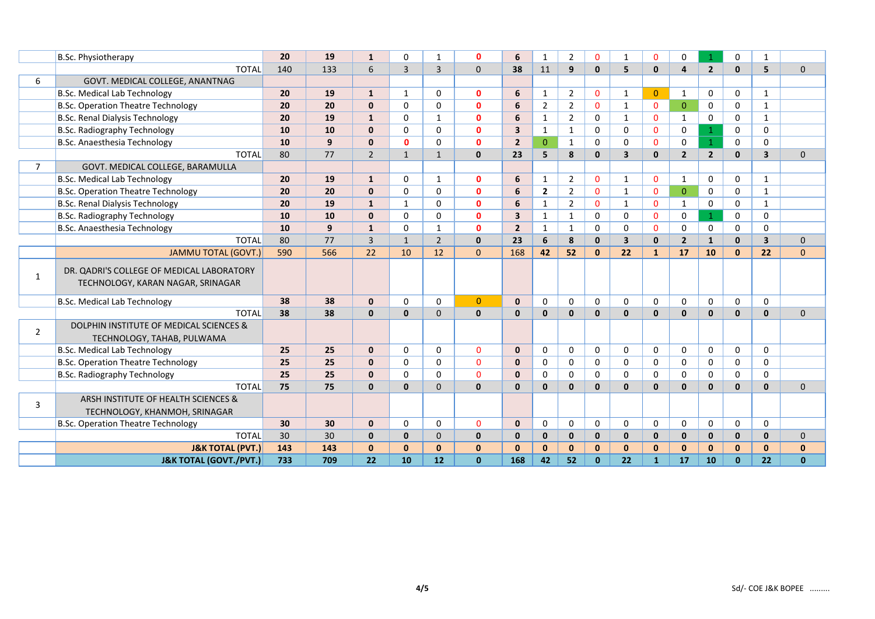|                | B.Sc. Physiotherapy                                                            | 20  | 19  | $\mathbf{1}$   | $\Omega$       |                | $\Omega$       | 6                       | 1              | 2              | $\mathbf 0$  | 1                       | $\mathbf{0}$   | 0              | $\mathbf{1}$   | 0            | 1                       |              |
|----------------|--------------------------------------------------------------------------------|-----|-----|----------------|----------------|----------------|----------------|-------------------------|----------------|----------------|--------------|-------------------------|----------------|----------------|----------------|--------------|-------------------------|--------------|
|                | <b>TOTAL</b>                                                                   | 140 | 133 | 6              | $\overline{3}$ | $\overline{3}$ | $\Omega$       | 38                      | 11             | 9              | $\mathbf{0}$ | 5                       | $\mathbf{0}$   | $\overline{a}$ | $\overline{2}$ | $\mathbf{0}$ | 5                       | $\Omega$     |
| 6              | GOVT. MEDICAL COLLEGE, ANANTNAG                                                |     |     |                |                |                |                |                         |                |                |              |                         |                |                |                |              |                         |              |
|                | <b>B.Sc. Medical Lab Technology</b>                                            | 20  | 19  | $\mathbf{1}$   | $\mathbf{1}$   | $\Omega$       | $\mathbf{0}$   | 6                       | 1              | $\overline{2}$ | $\mathbf{0}$ | 1                       | $\overline{0}$ | 1              | 0              | 0            | $\mathbf{1}$            |              |
|                | B.Sc. Operation Theatre Technology                                             | 20  | 20  | $\mathbf 0$    | $\Omega$       | $\Omega$       | $\mathbf{0}$   | 6                       | $\overline{2}$ | $\overline{2}$ | $\Omega$     | $\mathbf{1}$            | $\mathbf{0}$   | $\Omega$       | 0              | $\mathbf{0}$ | $\mathbf{1}$            |              |
|                | <b>B.Sc. Renal Dialysis Technology</b>                                         | 20  | 19  | $\mathbf{1}$   | $\Omega$       | $\mathbf{1}$   | $\mathbf{0}$   | 6                       | $\mathbf{1}$   | $\overline{2}$ | 0            | $\mathbf{1}$            | $\mathbf{0}$   | $\mathbf{1}$   | 0              | 0            | $\mathbf{1}$            |              |
|                | <b>B.Sc. Radiography Technology</b>                                            | 10  | 10  | $\Omega$       | $\Omega$       | $\Omega$       | $\mathbf{0}$   | $\overline{\mathbf{3}}$ | $\mathbf{1}$   | $\mathbf{1}$   | $\Omega$     | $\mathbf 0$             | $\mathbf{0}$   | $\Omega$       | $\mathbf{1}$   | 0            | $\Omega$                |              |
|                | B.Sc. Anaesthesia Technology                                                   | 10  | 9   | $\mathbf 0$    | $\mathbf{0}$   | 0              | $\mathbf 0$    | $\overline{2}$          | $\mathbf{0}$   | $\mathbf{1}$   | 0            | 0                       | $\mathbf{0}$   | 0              | $\mathbf{1}$   | $\mathbf 0$  | 0                       |              |
|                | <b>TOTAL</b>                                                                   | 80  | 77  | $\overline{2}$ | $\mathbf{1}$   | $\mathbf{1}$   | $\mathbf{0}$   | 23                      | 5              | 8              | $\mathbf{0}$ | $\overline{\mathbf{3}}$ | $\mathbf{0}$   | $\overline{2}$ | $\overline{2}$ | $\mathbf{0}$ | $\overline{\mathbf{3}}$ | $\Omega$     |
| $\overline{7}$ | GOVT. MEDICAL COLLEGE, BARAMULLA                                               |     |     |                |                |                |                |                         |                |                |              |                         |                |                |                |              |                         |              |
|                | <b>B.Sc. Medical Lab Technology</b>                                            | 20  | 19  | $\mathbf{1}$   | $\mathbf{0}$   | $\mathbf{1}$   | $\mathbf{0}$   | 6                       | 1              | 2              | $\mathbf{0}$ | $\mathbf{1}$            | $\mathbf{0}$   | 1              | 0              | 0            | $\mathbf{1}$            |              |
|                | <b>B.Sc. Operation Theatre Technology</b>                                      | 20  | 20  | $\mathbf{0}$   | $\Omega$       | $\Omega$       | $\mathbf{0}$   | 6                       | $\overline{2}$ | $\overline{2}$ | $\Omega$     | $\mathbf{1}$            | $\Omega$       | $\mathbf{0}$   | 0              | $\mathbf 0$  | $\mathbf{1}$            |              |
|                | <b>B.Sc. Renal Dialysis Technology</b>                                         | 20  | 19  | $\mathbf{1}$   | $\mathbf{1}$   | 0              | $\mathbf 0$    | 6                       | 1              | $\overline{2}$ | $\mathbf 0$  | $\mathbf{1}$            | $\mathbf{0}$   | $\mathbf{1}$   | 0              | 0            | $\mathbf{1}$            |              |
|                | <b>B.Sc. Radiography Technology</b>                                            | 10  | 10  | $\mathbf 0$    | $\Omega$       | $\Omega$       | $\mathbf{0}$   | $\overline{\mathbf{3}}$ | $\mathbf{1}$   | $\mathbf{1}$   | $\mathbf 0$  | $\mathbf 0$             | $\Omega$       | $\mathbf 0$    | $\mathbf{1}$   | $\mathbf 0$  | $\Omega$                |              |
|                | <b>B.Sc. Anaesthesia Technology</b>                                            | 10  | 9   | $\mathbf{1}$   | $\Omega$       | $\mathbf{1}$   | $\mathbf{0}$   | $\overline{2}$          | 1              | $\mathbf{1}$   | 0            | 0                       | $\mathbf{0}$   | 0              | 0              | 0            | $\mathbf 0$             |              |
|                | <b>TOTAL</b>                                                                   | 80  | 77  | $\overline{3}$ | $\mathbf{1}$   | $\overline{2}$ | $\mathbf 0$    | 23                      | 6              | 8              | $\mathbf 0$  | $\overline{\mathbf{3}}$ | $\mathbf{0}$   | $\overline{2}$ | $\mathbf{1}$   | $\mathbf{0}$ | $\overline{\mathbf{3}}$ | $\mathbf{0}$ |
|                | <b>JAMMU TOTAL (GOVT.)</b>                                                     | 590 | 566 | 22             | 10             | 12             | $\mathbf{0}$   | 168                     | 42             | 52             | $\mathbf 0$  | 22                      | $\mathbf{1}$   | 17             | 10             | $\mathbf{0}$ | 22                      | $\mathbf{0}$ |
| $\mathbf{1}$   | DR. QADRI'S COLLEGE OF MEDICAL LABORATORY<br>TECHNOLOGY, KARAN NAGAR, SRINAGAR |     |     |                |                |                |                |                         |                |                |              |                         |                |                |                |              |                         |              |
|                | <b>B.Sc. Medical Lab Technology</b>                                            | 38  | 38  | $\mathbf 0$    | $\Omega$       | $\Omega$       | $\overline{0}$ | $\mathbf{0}$            | $\Omega$       | 0              | $\Omega$     | $\mathbf 0$             | $\Omega$       | $\mathbf{0}$   | 0              | $\Omega$     | $\mathbf 0$             |              |
|                | <b>TOTAL</b>                                                                   | 38  | 38  | $\mathbf{0}$   | $\mathbf{0}$   | $\mathbf{0}$   | $\mathbf 0$    | $\mathbf{0}$            | $\mathbf{0}$   | $\mathbf{0}$   | $\mathbf{0}$ | $\mathbf{0}$            | $\mathbf{0}$   | $\mathbf{0}$   | $\mathbf{0}$   | $\mathbf{0}$ | $\mathbf{0}$            | $\mathbf{0}$ |
|                | DOLPHIN INSTITUTE OF MEDICAL SCIENCES &                                        |     |     |                |                |                |                |                         |                |                |              |                         |                |                |                |              |                         |              |
| $\overline{2}$ | TECHNOLOGY, TAHAB, PULWAMA                                                     |     |     |                |                |                |                |                         |                |                |              |                         |                |                |                |              |                         |              |
|                | B.Sc. Medical Lab Technology                                                   | 25  | 25  | $\mathbf{0}$   | $\Omega$       | $\Omega$       | $\mathbf 0$    | $\mathbf{0}$            | $\mathbf 0$    | 0              | 0            | 0                       | 0              | $\mathbf 0$    | 0              | $\mathbf 0$  | 0                       |              |
|                | <b>B.Sc. Operation Theatre Technology</b>                                      | 25  | 25  | $\Omega$       | $\Omega$       | $\Omega$       | $\Omega$       | $\mathbf{0}$            | $\mathbf 0$    | 0              | $\Omega$     | $\mathbf 0$             | 0              | $\Omega$       | 0              | $\mathbf 0$  | $\Omega$                |              |
|                | B.Sc. Radiography Technology                                                   | 25  | 25  | $\mathbf 0$    | $\Omega$       | 0              | $\Omega$       | $\mathbf{0}$            | 0              | 0              | 0            | 0                       | 0              | 0              | 0              | 0            | $\mathbf 0$             |              |
|                | <b>TOTAL</b>                                                                   | 75  | 75  | $\mathbf{0}$   | $\mathbf{0}$   | $\Omega$       | $\mathbf{0}$   | $\mathbf{0}$            | $\mathbf{0}$   | $\mathbf{0}$   | $\mathbf 0$  | $\mathbf{0}$            | $\mathbf{0}$   | $\Omega$       | $\mathbf{0}$   | $\mathbf{0}$ | $\mathbf{0}$            | $\Omega$     |
|                | ARSH INSTITUTE OF HEALTH SCIENCES &                                            |     |     |                |                |                |                |                         |                |                |              |                         |                |                |                |              |                         |              |
| 3              | TECHNOLOGY, KHANMOH, SRINAGAR                                                  |     |     |                |                |                |                |                         |                |                |              |                         |                |                |                |              |                         |              |
|                | <b>B.Sc. Operation Theatre Technology</b>                                      | 30  | 30  | $\mathbf{0}$   | $\Omega$       | $\Omega$       | $\Omega$       | $\mathbf{0}$            | $\Omega$       | 0              | 0            | $\mathbf 0$             | 0              | $\mathbf 0$    | 0              | 0            | 0                       |              |
|                | <b>TOTAL</b>                                                                   | 30  | 30  | $\mathbf 0$    | 0              | $\mathbf{0}$   | $\mathbf 0$    | $\mathbf 0$             | $\mathbf{0}$   | $\mathbf{0}$   | $\mathbf{0}$ | $\mathbf{0}$            | $\mathbf{0}$   | $\mathbf 0$    | $\mathbf{0}$   | $\mathbf 0$  | $\mathbf{0}$            | 0            |
|                | <b>J&amp;K TOTAL (PVT.)</b>                                                    | 143 | 143 | $\mathbf{0}$   | $\mathbf{0}$   | $\mathbf{0}$   | $\mathbf{0}$   | $\mathbf{0}$            | $\Omega$       | $\mathbf{0}$   | $\mathbf{0}$ | $\mathbf{0}$            | $\mathbf{0}$   | $\mathbf{0}$   | $\mathbf{0}$   | $\mathbf{0}$ | $\mathbf{0}$            | $\bf{0}$     |
|                | <b>J&amp;K TOTAL (GOVT./PVT.)</b>                                              | 733 | 709 | 22             | 10             | 12             | $\mathbf{0}$   | 168                     | 42             | 52             | $\bf{0}$     | 22                      | $\mathbf{1}$   | 17             | 10             | $\mathbf{0}$ | 22                      | $\bf{0}$     |
|                |                                                                                |     |     |                |                |                |                |                         |                |                |              |                         |                |                |                |              |                         |              |